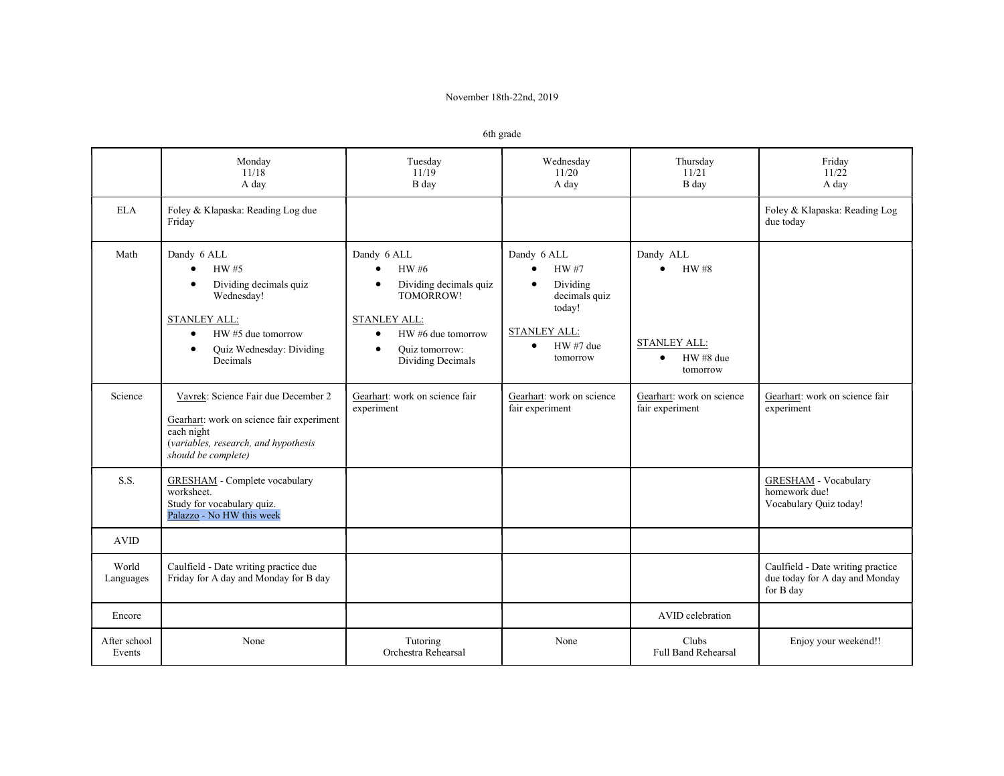## November 18th-22nd, 2019

|                        | Monday<br>11/18<br>A day                                                                                                                                                    | Tuesday<br>11/19<br>B day                                                                                                                                          | Wednesday<br>11/20<br>A day                                                                                 | Thursday<br>11/21<br>B day                                        | Friday<br>11/22<br>A day                                                         |
|------------------------|-----------------------------------------------------------------------------------------------------------------------------------------------------------------------------|--------------------------------------------------------------------------------------------------------------------------------------------------------------------|-------------------------------------------------------------------------------------------------------------|-------------------------------------------------------------------|----------------------------------------------------------------------------------|
| <b>ELA</b>             | Foley & Klapaska: Reading Log due<br>Friday                                                                                                                                 |                                                                                                                                                                    |                                                                                                             |                                                                   | Foley & Klapaska: Reading Log<br>due today                                       |
| Math                   | Dandy 6 ALL<br>HW #5<br>Dividing decimals quiz<br>Wednesday!<br><b>STANLEY ALL:</b><br>HW #5 due tomorrow<br>$\bullet$<br>Quiz Wednesday: Dividing<br>$\bullet$<br>Decimals | Dandy 6 ALL<br>HW #6<br>Dividing decimals quiz<br>TOMORROW!<br>STANLEY ALL:<br>HW #6 due tomorrow<br>$\bullet$<br>Ouiz tomorrow:<br>$\bullet$<br>Dividing Decimals | Dandy 6 ALL<br>HW #7<br>Dividing<br>decimals quiz<br>today!<br><b>STANLEY ALL:</b><br>HW #7 due<br>tomorrow | Dandy ALL<br>HW #8<br><b>STANLEY ALL:</b><br>HW#8 due<br>tomorrow |                                                                                  |
| Science                | Vavrek: Science Fair due December 2<br>Gearhart: work on science fair experiment<br>each night<br>(variables, research, and hypothesis<br>should be complete)               | Gearhart: work on science fair<br>experiment                                                                                                                       | Gearhart: work on science<br>fair experiment                                                                | Gearhart: work on science<br>fair experiment                      | Gearhart: work on science fair<br>experiment                                     |
| S.S.                   | GRESHAM - Complete vocabulary<br>worksheet.<br>Study for vocabulary quiz.<br>Palazzo - No HW this week                                                                      |                                                                                                                                                                    |                                                                                                             |                                                                   | <b>GRESHAM</b> - Vocabulary<br>homework due!<br>Vocabulary Quiz today!           |
| <b>AVID</b>            |                                                                                                                                                                             |                                                                                                                                                                    |                                                                                                             |                                                                   |                                                                                  |
| World<br>Languages     | Caulfield - Date writing practice due<br>Friday for A day and Monday for B day                                                                                              |                                                                                                                                                                    |                                                                                                             |                                                                   | Caulfield - Date writing practice<br>due today for A day and Monday<br>for B day |
| Encore                 |                                                                                                                                                                             |                                                                                                                                                                    |                                                                                                             | AVID celebration                                                  |                                                                                  |
| After school<br>Events | None                                                                                                                                                                        | Tutoring<br>Orchestra Rehearsal                                                                                                                                    | None                                                                                                        | Clubs<br><b>Full Band Rehearsal</b>                               | Enjoy your weekend!!                                                             |

6th grade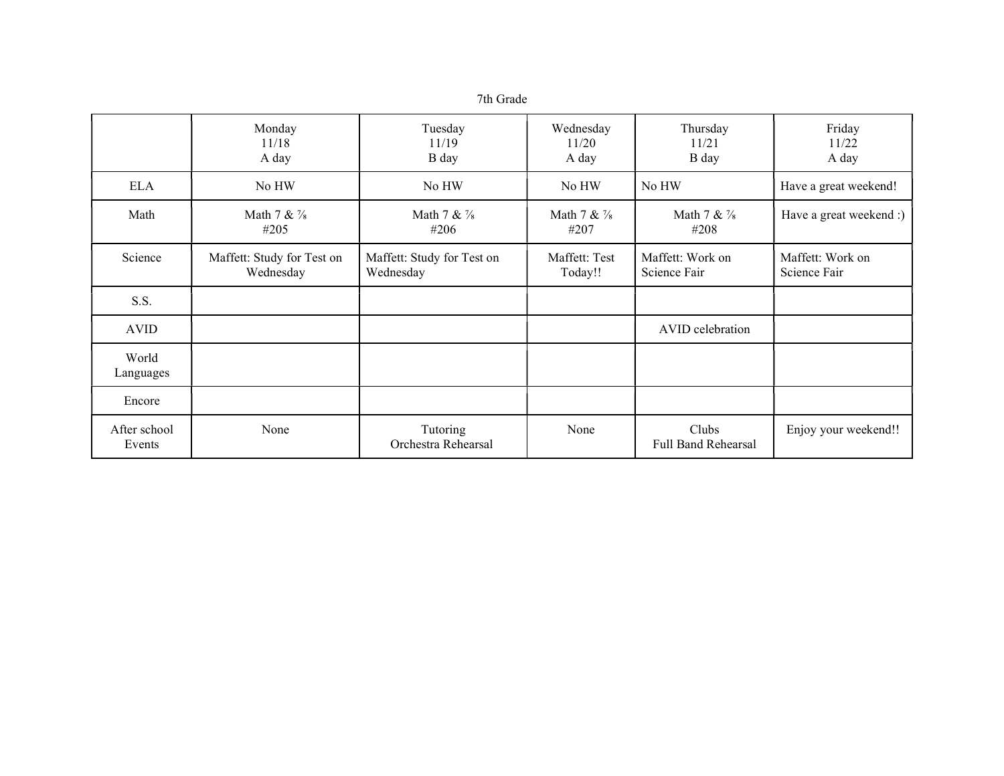|                        | Monday<br>11/18<br>A day                | Tuesday<br>11/19<br>B day               | Wednesday<br>11/20<br>A day | Thursday<br>11/21<br>B day       | Friday<br>11/22<br>A day         |
|------------------------|-----------------------------------------|-----------------------------------------|-----------------------------|----------------------------------|----------------------------------|
| <b>ELA</b>             | No HW                                   | No HW                                   | No HW                       | No HW                            | Have a great weekend!            |
| Math                   | Math $7 & 2$<br>#205                    | Math $7 & 2$<br>#206                    | Math $7 & 4$<br>#207        | Math $7 & 2$<br>#208             | Have a great weekend :)          |
| Science                | Maffett: Study for Test on<br>Wednesday | Maffett: Study for Test on<br>Wednesday | Maffett: Test<br>Today!!    | Maffett: Work on<br>Science Fair | Maffett: Work on<br>Science Fair |
| S.S.                   |                                         |                                         |                             |                                  |                                  |
| <b>AVID</b>            |                                         |                                         |                             | AVID celebration                 |                                  |
| World<br>Languages     |                                         |                                         |                             |                                  |                                  |
| Encore                 |                                         |                                         |                             |                                  |                                  |
| After school<br>Events | None                                    | Tutoring<br>Orchestra Rehearsal         | None                        | Clubs<br>Full Band Rehearsal     | Enjoy your weekend!!             |

7th Grade